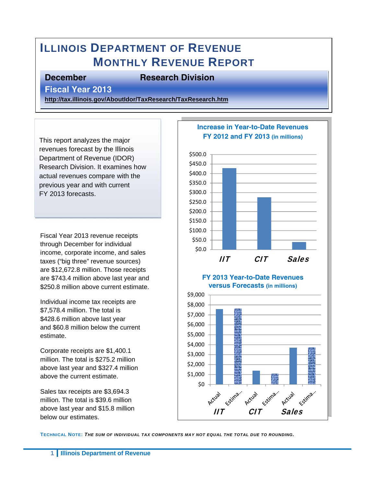# **ILLINOIS DEPARTMENT OF REVENUE MONTHLY REVENUE REPORT**

### **December Research Division**

**Fiscal Year 2013** 

**http://tax.illinois.gov/AboutIdor/TaxResearch/TaxResearch.htm**

This report analyzes the major revenues forecast by the Illinois Department of Revenue (IDOR) Research Division. It examines how actual revenues compare with the previous year and with current FY 2013 forecasts.

Fiscal Year 2013 revenue receipts through December for individual income, corporate income, and sales taxes ("big three" revenue sources) are \$12,672.8 million. Those receipts are \$743.4 million above last year and \$250.8 million above current estimate.

Individual income tax receipts are \$7,578.4 million. The total is \$428.6 million above last year and \$60.8 million below the current estimate.

Corporate receipts are \$1,400.1 million. The total is \$275.2 million above last year and \$327.4 million above the current estimate.

Sales tax receipts are \$3,694.3 million. The total is \$39.6 million above last year and \$15.8 million below our estimates.



**TECHNICAL NOTE:** *THE SUM OF INDIVIDUAL TAX COMPONENTS MAY NOT EQUAL THE TOTAL DUE TO ROUNDING.*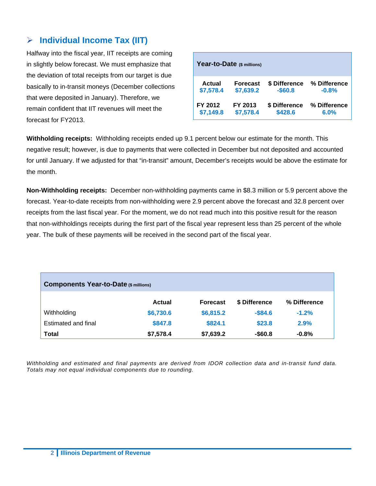# **Individual Income Tax (IIT)**

Halfway into the fiscal year, IIT receipts are coming in slightly below forecast. We must emphasize that the deviation of total receipts from our target is due basically to in-transit moneys (December collections that were deposited in January). Therefore, we remain confident that IIT revenues will meet the forecast for FY2013.

| Year-to-Date (\$ millions) |                 |               |              |  |  |  |
|----------------------------|-----------------|---------------|--------------|--|--|--|
| Actual                     | <b>Forecast</b> | \$ Difference | % Difference |  |  |  |
| \$7,578.4                  | \$7,639.2       | $-$60.8$      | $-0.8%$      |  |  |  |
| FY 2012                    | FY 2013         | \$ Difference | % Difference |  |  |  |
| \$7,149.8                  | \$7,578.4       | \$428.6       | 6.0%         |  |  |  |

**Withholding receipts:** Withholding receipts ended up 9.1 percent below our estimate for the month. This negative result; however, is due to payments that were collected in December but not deposited and accounted for until January. If we adjusted for that "in-transit" amount, December's receipts would be above the estimate for the month.

**Non-Withholding receipts:** December non-withholding payments came in \$8.3 million or 5.9 percent above the forecast. Year-to-date receipts from non-withholding were 2.9 percent above the forecast and 32.8 percent over receipts from the last fiscal year. For the moment, we do not read much into this positive result for the reason that non-withholdings receipts during the first part of the fiscal year represent less than 25 percent of the whole year. The bulk of these payments will be received in the second part of the fiscal year.

| <b>Components Year-to-Date (\$ millions)</b> |               |                 |               |              |  |  |
|----------------------------------------------|---------------|-----------------|---------------|--------------|--|--|
|                                              | <b>Actual</b> | <b>Forecast</b> | \$ Difference | % Difference |  |  |
| Withholding                                  | \$6,730.6     | \$6,815.2       | $-$ \$84.6    | $-1.2%$      |  |  |
| Estimated and final                          | \$847.8       | \$824.1         | \$23.8        | 2.9%         |  |  |
| Total                                        | \$7,578.4     | \$7,639.2       | $-$60.8$      | $-0.8%$      |  |  |

*Withholding and estimated and final payments are derived from IDOR collection data and in-transit fund data. Totals may not equal individual components due to rounding.*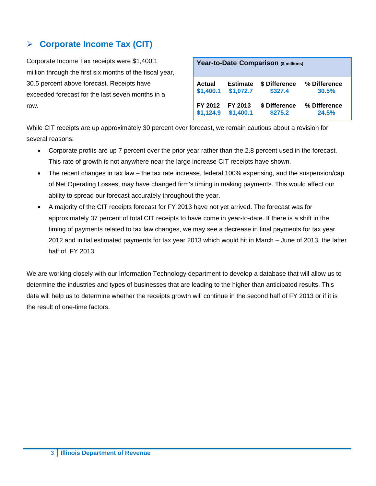# **Corporate Income Tax (CIT)**

Corporate Income Tax receipts were \$1,400.1 million through the first six months of the fiscal year, 30.5 percent above forecast. Receipts have exceeded forecast for the last seven months in a row.

| Year-to-Date Comparison (\$ millions)                                                                    |                      |                          |                       |  |  |  |
|----------------------------------------------------------------------------------------------------------|----------------------|--------------------------|-----------------------|--|--|--|
| \$ Difference<br>% Difference<br>Actual<br><b>Estimate</b><br>\$1,400.1<br>\$1,072.7<br>\$327.4<br>30.5% |                      |                          |                       |  |  |  |
| FY 2012<br>\$1,124.9                                                                                     | FY 2013<br>\$1,400.1 | \$ Difference<br>\$275.2 | % Difference<br>24.5% |  |  |  |

While CIT receipts are up approximately 30 percent over forecast, we remain cautious about a revision for several reasons:

- Corporate profits are up 7 percent over the prior year rather than the 2.8 percent used in the forecast. This rate of growth is not anywhere near the large increase CIT receipts have shown.
- The recent changes in tax law the tax rate increase, federal 100% expensing, and the suspension/cap of Net Operating Losses, may have changed firm's timing in making payments. This would affect our ability to spread our forecast accurately throughout the year.
- A majority of the CIT receipts forecast for FY 2013 have not yet arrived. The forecast was for approximately 37 percent of total CIT receipts to have come in year-to-date. If there is a shift in the timing of payments related to tax law changes, we may see a decrease in final payments for tax year 2012 and initial estimated payments for tax year 2013 which would hit in March – June of 2013, the latter half of FY 2013.

We are working closely with our Information Technology department to develop a database that will allow us to determine the industries and types of businesses that are leading to the higher than anticipated results. This data will help us to determine whether the receipts growth will continue in the second half of FY 2013 or if it is the result of one-time factors.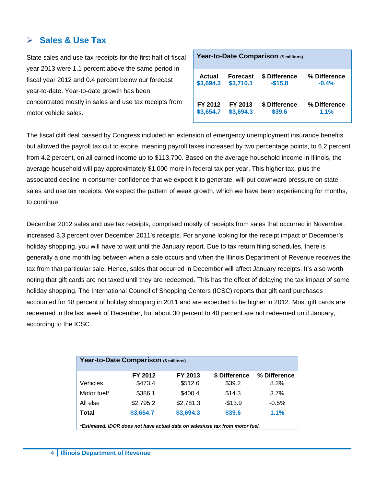# **Sales & Use Tax**

State sales and use tax receipts for the first half of fiscal year 2013 were 1.1 percent above the same period in fiscal year 2012 and 0.4 percent below our forecast year-to-date. Year-to-date growth has been concentrated mostly in sales and use tax receipts from motor vehicle sales.

| Year-to-Date Comparison (\$ millions) |                 |               |              |  |  |
|---------------------------------------|-----------------|---------------|--------------|--|--|
| Actual                                | <b>Forecast</b> | \$ Difference | % Difference |  |  |
| \$3,694.3                             | \$3,710.1       | $-$15.8$      | $-0.4%$      |  |  |
| FY 2012                               | FY 2013         | \$ Difference | % Difference |  |  |
| \$3,654.7                             | \$3,694.3       | \$39.6        | 1.1%         |  |  |

The fiscal cliff deal passed by Congress included an extension of emergency unemployment insurance benefits but allowed the payroll tax cut to expire, meaning payroll taxes increased by two percentage points, to 6.2 percent from 4.2 percent, on all earned income up to \$113,700. Based on the average household income in Illinois, the average household will pay approximately \$1,000 more in federal tax per year. This higher tax, plus the associated decline in consumer confidence that we expect it to generate, will put downward pressure on state sales and use tax receipts. We expect the pattern of weak growth, which we have been experiencing for months, to continue.

December 2012 sales and use tax receipts, comprised mostly of receipts from sales that occurred in November, increased 3.3 percent over December 2011's receipts. For anyone looking for the receipt impact of December's holiday shopping, you will have to wait until the January report. Due to tax return filing schedules, there is generally a one month lag between when a sale occurs and when the Illinois Department of Revenue receives the tax from that particular sale. Hence, sales that occurred in December will affect January receipts. It's also worth noting that gift cards are not taxed until they are redeemed. This has the effect of delaying the tax impact of some holiday shopping. The International Council of Shopping Centers (ICSC) reports that gift card purchases accounted for 18 percent of holiday shopping in 2011 and are expected to be higher in 2012. Most gift cards are redeemed in the last week of December, but about 30 percent to 40 percent are not redeemed until January, according to the ICSC.

| Year-to-Date Comparison (\$ millions)                                        |           |           |               |              |  |  |  |
|------------------------------------------------------------------------------|-----------|-----------|---------------|--------------|--|--|--|
|                                                                              | FY 2012   | FY 2013   | \$ Difference | % Difference |  |  |  |
| Vehicles                                                                     | \$473.4   | \$512.6   | \$39.2        | 8.3%         |  |  |  |
| Motor fuel*                                                                  | \$386.1   | \$400.4   | \$14.3        | 3.7%         |  |  |  |
| All else                                                                     | \$2,795.2 | \$2,781.3 | $-$13.9$      | $-0.5%$      |  |  |  |
| Total                                                                        | \$3,654.7 | \$3,694.3 | \$39.6        | 1.1%         |  |  |  |
| *Estimated. IDOR does not have actual data on sales/use tax from motor fuel. |           |           |               |              |  |  |  |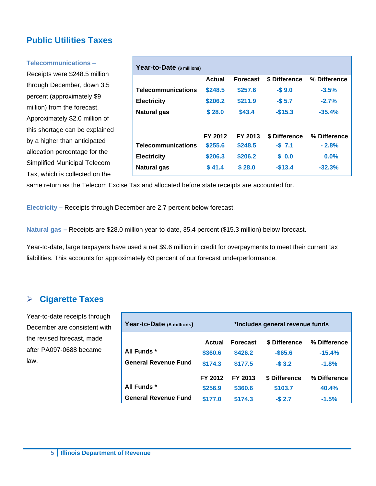# **Public Utilities Taxes**

#### **Telecommunications** –

Receipts were \$248.5 million through December, down 3.5 percent (approximately \$9 million) from the forecast. Approximately \$2.0 million of this shortage can be explained by a higher than anticipated allocation percentage for the Simplified Municipal Telecom Tax, which is collected on the

| Year-to-Date (\$ millions) |         |                 |               |              |
|----------------------------|---------|-----------------|---------------|--------------|
|                            | Actual  | <b>Forecast</b> | \$ Difference | % Difference |
| <b>Telecommunications</b>  | \$248.5 | \$257.6         | $-$9.0$       | $-3.5%$      |
| <b>Electricity</b>         | \$206.2 | \$211.9         | $-$5.7$       | $-2.7%$      |
| Natural gas                | \$28.0  | \$43.4          | $-$15.3$      | $-35.4%$     |
|                            | FY 2012 | FY 2013         | \$ Difference | % Difference |
| <b>Telecommunications</b>  | \$255.6 | \$248.5         | $-$7.1$       | $-2.8%$      |
| <b>Electricity</b>         | \$206.3 | \$206.2         | \$0.0         | $0.0\%$      |
| Natural gas                | \$41.4  | \$28.0          | $-$13.4$      | $-32.3%$     |

same return as the Telecom Excise Tax and allocated before state receipts are accounted for.

**Electricity –** Receipts through December are 2.7 percent below forecast.

**Natural gas –** Receipts are \$28.0 million year-to-date, 35.4 percent (\$15.3 million) below forecast.

Year-to-date, large taxpayers have used a net \$9.6 million in credit for overpayments to meet their current tax liabilities. This accounts for approximately 63 percent of our forecast underperformance.

## **Cigarette Taxes**

Year-to-date receipts through December are consistent with the revised forecast, made after PA097-0688 became law.

| Year-to-Date (\$ millions)  | *Includes general revenue funds |                 |               |              |  |
|-----------------------------|---------------------------------|-----------------|---------------|--------------|--|
|                             | Actual                          | <b>Forecast</b> | \$ Difference | % Difference |  |
| All Funds *                 | \$360.6                         | \$426.2         | $-$ \$65.6    | $-15.4%$     |  |
| <b>General Revenue Fund</b> | \$174.3                         | \$177.5         | $-$3.2$       | $-1.8%$      |  |
|                             | FY 2012                         | FY 2013         | \$ Difference | % Difference |  |
| All Funds *                 | \$256.9                         | \$360.6         | \$103.7       | 40.4%        |  |
| <b>General Revenue Fund</b> | \$177.0                         | \$174.3         | $-$2.7$       | $-1.5%$      |  |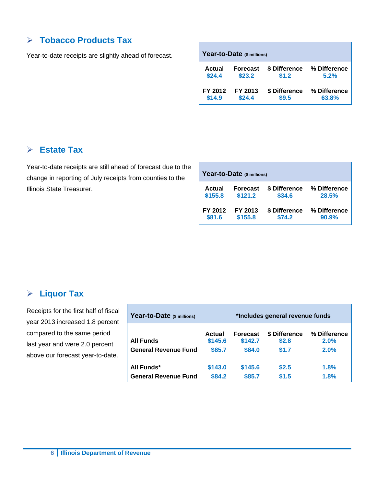# **Tobacco Products Tax**

Year-to-date receipts are slightly ahead of forecast.

| Year-to-Date (\$ millions) |                 |               |              |  |  |  |
|----------------------------|-----------------|---------------|--------------|--|--|--|
| Actual                     | <b>Forecast</b> | \$ Difference | % Difference |  |  |  |
| \$24.4                     | \$23.2          | \$1.2         | 5.2%         |  |  |  |
| FY 2012                    | FY 2013         | \$ Difference | % Difference |  |  |  |
| \$14.9                     | \$24.4          | \$9.5         | 63.8%        |  |  |  |

# **Estate Tax**

Year-to-date receipts are still ahead of forecast due to the change in reporting of July receipts from counties to the Illinois State Treasurer.

| Year-to-Date (\$ millions) |                 |               |              |  |  |  |
|----------------------------|-----------------|---------------|--------------|--|--|--|
| Actual                     | <b>Forecast</b> | \$ Difference | % Difference |  |  |  |
| \$155.8                    | \$121.2         | \$34.6        | 28.5%        |  |  |  |
| FY 2012                    | FY 2013         | \$ Difference | % Difference |  |  |  |
| \$81.6                     | \$155.8         | \$74.2        | 90.9%        |  |  |  |

# **Liquor Tax**

Receipts for the first half of fiscal year 2013 increased 1.8 percent compared to the same period last year and were 2.0 percent above our forecast year-to-date.

| Year-to-Date (\$ millions)  | *Includes general revenue funds |                 |               |              |  |
|-----------------------------|---------------------------------|-----------------|---------------|--------------|--|
| <b>All Funds</b>            | Actual                          | <b>Forecast</b> | \$ Difference | % Difference |  |
|                             | \$145.6                         | \$142.7         | \$2.8         | 2.0%         |  |
| <b>General Revenue Fund</b> | \$85.7                          | \$84.0          | \$1.7         | 2.0%         |  |
| All Funds*                  | \$143.0                         | \$145.6         | \$2.5         | 1.8%         |  |
| <b>General Revenue Fund</b> | \$84.2                          | \$85.7          | \$1.5         | 1.8%         |  |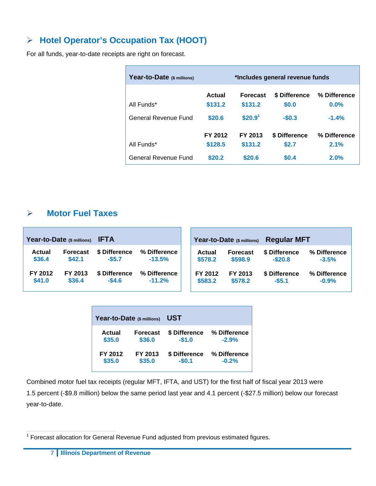# **Hotel Operator's Occupation Tax (HOOT)**

For all funds, year-to-date receipts are right on forecast.

| Year-to-Date (\$ millions) | *Includes general revenue funds |                            |                        |                         |
|----------------------------|---------------------------------|----------------------------|------------------------|-------------------------|
| All Funds*                 | Actual<br>\$131.2               | <b>Forecast</b><br>\$131.2 | \$ Difference<br>\$0.0 | % Difference<br>$0.0\%$ |
| General Revenue Fund       | \$20.6                          | \$20.9 <sup>1</sup>        | $-$0.3$                | $-1.4%$                 |
| All Funds*                 | FY 2012<br>\$128.5              | FY 2013<br>\$131.2         | \$ Difference<br>\$2.7 | % Difference<br>2.1%    |
| General Revenue Fund       | \$20.2                          | \$20.6                     | \$0.4                  | 2.0%                    |

# **Motor Fuel Taxes**

|         | Year-to-Date (\$ millions) | <b>IFTA</b>   |              |         | Year-to-Date (\$ millions) | <b>Regular MFT</b> |              |
|---------|----------------------------|---------------|--------------|---------|----------------------------|--------------------|--------------|
| Actual  | <b>Forecast</b>            | \$ Difference | % Difference | Actual  | <b>Forecast</b>            | \$ Difference      | % Difference |
| \$36.4  | \$42.1                     | $-$ \$5.7     | $-13.5%$     | \$578.2 | \$598.9                    | $-$ \$20.8         | $-3.5%$      |
| FY 2012 | FY 2013                    | \$ Difference | % Difference | FY 2012 | FY 2013                    | \$ Difference      | % Difference |
| \$41.0  | \$36.4                     | $-$4.6$       | $-11.2%$     | \$583.2 | \$578.2                    | $-55.1$            | $-0.9%$      |

| Year-to-Date (\$ millions) |                 | UST           |              |  |  |  |  |
|----------------------------|-----------------|---------------|--------------|--|--|--|--|
| Actual                     | <b>Forecast</b> | \$ Difference | % Difference |  |  |  |  |
| \$35.0                     | \$36.0          | $-$1.0$       | $-2.9%$      |  |  |  |  |
| FY 2012                    | FY 2013         | \$ Difference | % Difference |  |  |  |  |
| \$35.0                     | \$35.0          | $-$0.1$       | $-0.2%$      |  |  |  |  |

Combined motor fuel tax receipts (regular MFT, IFTA, and UST) for the first half of fiscal year 2013 were 1.5 percent (-\$9.8 million) below the same period last year and 4.1 percent (-\$27.5 million) below our forecast year-to-date.

<sup>————————————————————&</sup>lt;br><sup>1</sup> Forecast allocation for General Revenue Fund adjusted from previous estimated figures.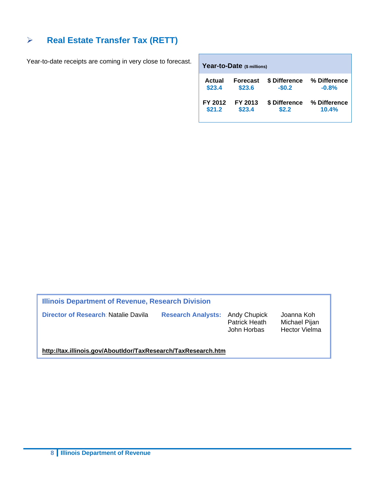# **► Real Estate Transfer Tax (RETT)**

Year-to-date receipts are coming in very close to forecast.

| Year-to-Date (\$ millions) |                 |               |              |  |  |  |  |  |  |  |
|----------------------------|-----------------|---------------|--------------|--|--|--|--|--|--|--|
| Actual                     | <b>Forecast</b> | \$ Difference | % Difference |  |  |  |  |  |  |  |
| \$23.4                     | \$23.6          | $-$0.2$       | $-0.8%$      |  |  |  |  |  |  |  |
| FY 2012                    | FY 2013         | \$ Difference | % Difference |  |  |  |  |  |  |  |
| \$21.2                     | \$23.4          | \$2.2         | 10.4%        |  |  |  |  |  |  |  |

**Illinois Department of Revenue, Research Division** 

**Director of Research: Natalie Davila Research Analysts:** Andy Chupick Joanna Koh<br>Patrick Heath Michael Pijar

Michael Pijan John Horbas Hector Vielma

**http://tax.illinois.gov/AboutIdor/TaxResearch/TaxResearch.htm**